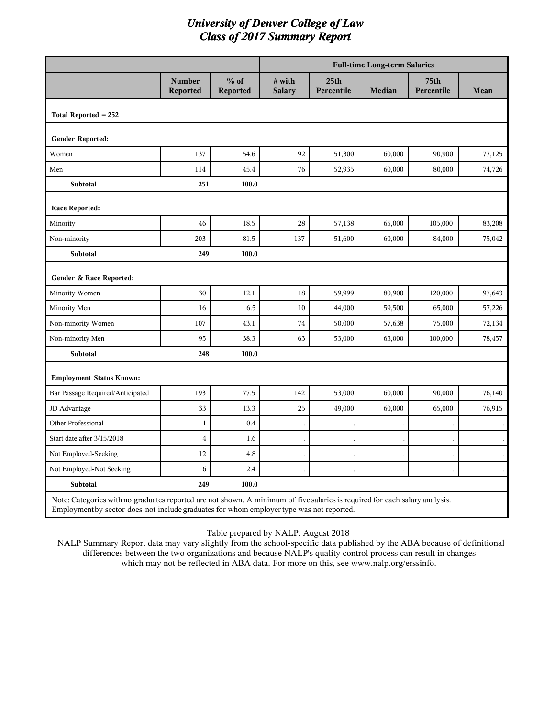|                                                                                                                                                                                                                         |                           |                    |                         |                                | <b>Full-time Long-term Salaries</b> |                                |        |
|-------------------------------------------------------------------------------------------------------------------------------------------------------------------------------------------------------------------------|---------------------------|--------------------|-------------------------|--------------------------------|-------------------------------------|--------------------------------|--------|
|                                                                                                                                                                                                                         | <b>Number</b><br>Reported | $%$ of<br>Reported | # with<br><b>Salary</b> | 25 <sub>th</sub><br>Percentile | Median                              | 75 <sub>th</sub><br>Percentile | Mean   |
| Total Reported $= 252$                                                                                                                                                                                                  |                           |                    |                         |                                |                                     |                                |        |
| <b>Gender Reported:</b>                                                                                                                                                                                                 |                           |                    |                         |                                |                                     |                                |        |
| Women                                                                                                                                                                                                                   | 137                       | 54.6               | 92                      | 51,300                         | 60,000                              | 90,900                         | 77,125 |
| Men                                                                                                                                                                                                                     | 114                       | 45.4               | 76                      | 52,935                         | 60,000                              | 80,000                         | 74,726 |
| Subtotal                                                                                                                                                                                                                | 251                       | 100.0              |                         |                                |                                     |                                |        |
| Race Reported:                                                                                                                                                                                                          |                           |                    |                         |                                |                                     |                                |        |
| Minority                                                                                                                                                                                                                | 46                        | 18.5               | 28                      | 57,138                         | 65,000                              | 105,000                        | 83,208 |
| Non-minority                                                                                                                                                                                                            | 203                       | 81.5               | 137                     | 51,600                         | 60,000                              | 84,000                         | 75,042 |
| Subtotal                                                                                                                                                                                                                | 249                       | 100.0              |                         |                                |                                     |                                |        |
| Gender & Race Reported:                                                                                                                                                                                                 |                           |                    |                         |                                |                                     |                                |        |
| Minority Women                                                                                                                                                                                                          | 30                        | 12.1               | 18                      | 59,999                         | 80,900                              | 120,000                        | 97,643 |
| Minority Men                                                                                                                                                                                                            | 16                        | 6.5                | 10                      | 44,000                         | 59,500                              | 65,000                         | 57,226 |
| Non-minority Women                                                                                                                                                                                                      | 107                       | 43.1               | 74                      | 50,000                         | 57,638                              | 75,000                         | 72,134 |
| Non-minority Men                                                                                                                                                                                                        | 95                        | 38.3               | 63                      | 53,000                         | 63,000                              | 100,000                        | 78,457 |
| <b>Subtotal</b>                                                                                                                                                                                                         | 248                       | 100.0              |                         |                                |                                     |                                |        |
| <b>Employment Status Known:</b>                                                                                                                                                                                         |                           |                    |                         |                                |                                     |                                |        |
| Bar Passage Required/Anticipated                                                                                                                                                                                        | 193                       | 77.5               | 142                     | 53,000                         | 60,000                              | 90,000                         | 76,140 |
| JD Advantage                                                                                                                                                                                                            | 33                        | 13.3               | 25                      | 49,000                         | 60,000                              | 65,000                         | 76,915 |
| Other Professional                                                                                                                                                                                                      | $1\,$                     | 0.4                |                         |                                |                                     |                                |        |
| Start date after 3/15/2018                                                                                                                                                                                              | $\bf 4$                   | 1.6                |                         |                                |                                     |                                |        |
| Not Employed-Seeking                                                                                                                                                                                                    | 12                        | 4.8                |                         |                                |                                     |                                |        |
| Not Employed-Not Seeking                                                                                                                                                                                                | 6                         | 2.4                |                         |                                |                                     |                                |        |
| <b>Subtotal</b>                                                                                                                                                                                                         | 249                       | 100.0              |                         |                                |                                     |                                |        |
| Note: Categories with no graduates reported are not shown. A minimum of five salaries is required for each salary analysis.<br>Employment by sector does not include graduates for whom employer type was not reported. |                           |                    |                         |                                |                                     |                                |        |

#### Table prepared by NALP, August 2018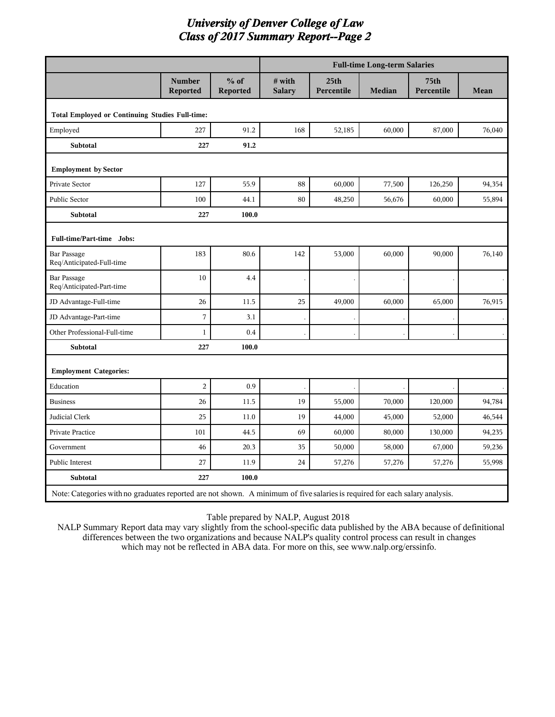|                                                                                                                             |                           |                    | <b>Full-time Long-term Salaries</b> |                                |               |                                |             |  |
|-----------------------------------------------------------------------------------------------------------------------------|---------------------------|--------------------|-------------------------------------|--------------------------------|---------------|--------------------------------|-------------|--|
|                                                                                                                             | <b>Number</b><br>Reported | $%$ of<br>Reported | # with<br><b>Salary</b>             | 25 <sub>th</sub><br>Percentile | <b>Median</b> | 75 <sub>th</sub><br>Percentile | <b>Mean</b> |  |
| <b>Total Employed or Continuing Studies Full-time:</b>                                                                      |                           |                    |                                     |                                |               |                                |             |  |
| Employed                                                                                                                    | 227                       | 91.2               | 168                                 | 52,185                         | 60,000        | 87,000                         | 76,040      |  |
| <b>Subtotal</b>                                                                                                             | 227                       | 91.2               |                                     |                                |               |                                |             |  |
| <b>Employment by Sector</b>                                                                                                 |                           |                    |                                     |                                |               |                                |             |  |
| Private Sector                                                                                                              | 127                       | 55.9               | 88                                  | 60,000                         | 77,500        | 126,250                        | 94,354      |  |
| Public Sector                                                                                                               | 100                       | 44.1               | 80                                  | 48,250                         | 56,676        | 60,000                         | 55,894      |  |
| Subtotal                                                                                                                    | 227                       | 100.0              |                                     |                                |               |                                |             |  |
| Full-time/Part-time Jobs:                                                                                                   |                           |                    |                                     |                                |               |                                |             |  |
| <b>Bar Passage</b><br>Req/Anticipated-Full-time                                                                             | 183                       | 80.6               | 142                                 | 53,000                         | 60,000        | 90,000                         | 76,140      |  |
| <b>Bar Passage</b><br>Req/Anticipated-Part-time                                                                             | 10                        | 4.4                |                                     |                                |               |                                |             |  |
| JD Advantage-Full-time                                                                                                      | 26                        | 11.5               | 25                                  | 49,000                         | 60,000        | 65,000                         | 76,915      |  |
| JD Advantage-Part-time                                                                                                      | 7                         | 3.1                |                                     |                                |               |                                |             |  |
| Other Professional-Full-time                                                                                                | $\mathbf{1}$              | 0.4                |                                     |                                |               |                                |             |  |
| <b>Subtotal</b>                                                                                                             | 227                       | 100.0              |                                     |                                |               |                                |             |  |
| <b>Employment Categories:</b>                                                                                               |                           |                    |                                     |                                |               |                                |             |  |
| Education                                                                                                                   | $\overline{2}$            | 0.9                |                                     |                                |               |                                |             |  |
| <b>Business</b>                                                                                                             | 26                        | 11.5               | 19                                  | 55,000                         | 70,000        | 120,000                        | 94,784      |  |
| Judicial Clerk                                                                                                              | 25                        | 11.0               | 19                                  | 44,000                         | 45,000        | 52,000                         | 46,544      |  |
| Private Practice                                                                                                            | 101                       | 44.5               | 69                                  | 60,000                         | 80,000        | 130,000                        | 94,235      |  |
| Government                                                                                                                  | 46                        | 20.3               | 35                                  | 50,000                         | 58,000        | 67,000                         | 59,236      |  |
| Public Interest                                                                                                             | 27                        | 11.9               | 24                                  | 57,276                         | 57,276        | 57,276                         | 55,998      |  |
| Subtotal                                                                                                                    | 227                       | 100.0              |                                     |                                |               |                                |             |  |
| Note: Categories with no graduates reported are not shown. A minimum of five salaries is required for each salary analysis. |                           |                    |                                     |                                |               |                                |             |  |

Table prepared by NALP, August 2018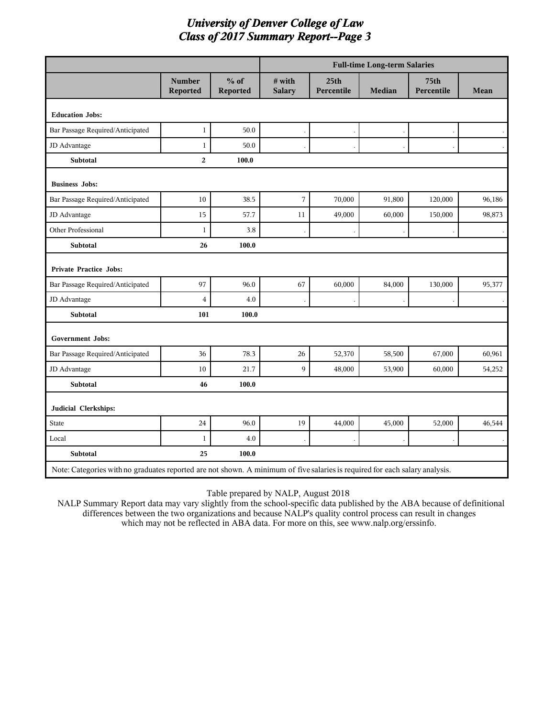|                                                                                                                             |                           |                    |                         |                                | <b>Full-time Long-term Salaries</b> |                                |             |
|-----------------------------------------------------------------------------------------------------------------------------|---------------------------|--------------------|-------------------------|--------------------------------|-------------------------------------|--------------------------------|-------------|
|                                                                                                                             | <b>Number</b><br>Reported | $%$ of<br>Reported | # with<br><b>Salary</b> | 25 <sub>th</sub><br>Percentile | <b>Median</b>                       | 75 <sub>th</sub><br>Percentile | <b>Mean</b> |
| <b>Education Jobs:</b>                                                                                                      |                           |                    |                         |                                |                                     |                                |             |
| Bar Passage Required/Anticipated                                                                                            | $\mathbf{1}$              | 50.0               |                         |                                |                                     |                                |             |
| JD Advantage                                                                                                                | $\mathbf{1}$              | 50.0               |                         |                                |                                     |                                |             |
| Subtotal                                                                                                                    | $\overline{a}$            | 100.0              |                         |                                |                                     |                                |             |
| <b>Business Jobs:</b>                                                                                                       |                           |                    |                         |                                |                                     |                                |             |
| Bar Passage Required/Anticipated                                                                                            | 10                        | 38.5               | 7                       | 70,000                         | 91,800                              | 120,000                        | 96,186      |
| JD Advantage                                                                                                                | 15                        | 57.7               | 11                      | 49,000                         | 60,000                              | 150,000                        | 98,873      |
| <b>Other Professional</b>                                                                                                   | $\mathbf{1}$              | 3.8                |                         |                                |                                     |                                |             |
| Subtotal                                                                                                                    | 26                        | 100.0              |                         |                                |                                     |                                |             |
| <b>Private Practice Jobs:</b>                                                                                               |                           |                    |                         |                                |                                     |                                |             |
| Bar Passage Required/Anticipated                                                                                            | 97                        | 96.0               | 67                      | 60,000                         | 84,000                              | 130,000                        | 95,377      |
| JD Advantage                                                                                                                | $\overline{4}$            | 4.0                |                         |                                |                                     |                                |             |
| <b>Subtotal</b>                                                                                                             | 101                       | 100.0              |                         |                                |                                     |                                |             |
| <b>Government Jobs:</b>                                                                                                     |                           |                    |                         |                                |                                     |                                |             |
| Bar Passage Required/Anticipated                                                                                            | 36                        | 78.3               | 26                      | 52,370                         | 58,500                              | 67,000                         | 60,961      |
| JD Advantage                                                                                                                | 10                        | 21.7               | $\mathbf{Q}$            | 48,000                         | 53,900                              | 60,000                         | 54,252      |
| <b>Subtotal</b>                                                                                                             | 46                        | 100.0              |                         |                                |                                     |                                |             |
| Judicial Clerkships:                                                                                                        |                           |                    |                         |                                |                                     |                                |             |
| <b>State</b>                                                                                                                | $24\,$                    | 96.0               | 19                      | 44,000                         | 45,000                              | 52,000                         | 46,544      |
| Local                                                                                                                       | $\mathbf{1}$              | 4.0                |                         |                                |                                     |                                |             |
| Subtotal                                                                                                                    | 25                        | 100.0              |                         |                                |                                     |                                |             |
| Note: Categories with no graduates reported are not shown. A minimum of five salaries is required for each salary analysis. |                           |                    |                         |                                |                                     |                                |             |

Table prepared by NALP, August 2018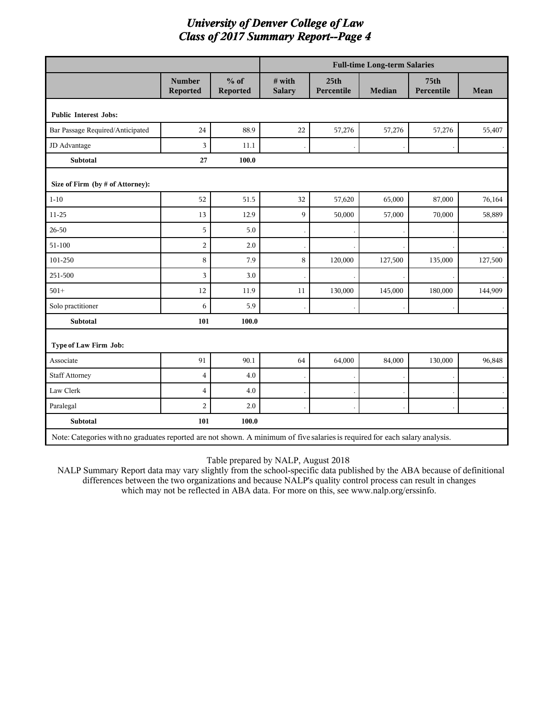|                                  |                                                                                                                             |                    | <b>Full-time Long-term Salaries</b> |                                |         |                                |         |  |
|----------------------------------|-----------------------------------------------------------------------------------------------------------------------------|--------------------|-------------------------------------|--------------------------------|---------|--------------------------------|---------|--|
|                                  | <b>Number</b><br>Reported                                                                                                   | $%$ of<br>Reported | # with<br><b>Salary</b>             | 25 <sub>th</sub><br>Percentile | Median  | 75 <sub>th</sub><br>Percentile | Mean    |  |
| <b>Public Interest Jobs:</b>     |                                                                                                                             |                    |                                     |                                |         |                                |         |  |
| Bar Passage Required/Anticipated | 24                                                                                                                          | 88.9               | $22\,$                              | 57,276                         | 57,276  | 57,276                         | 55,407  |  |
| JD Advantage                     | 3                                                                                                                           | 11.1               |                                     |                                |         |                                |         |  |
| Subtotal                         | $\bf 27$                                                                                                                    | 100.0              |                                     |                                |         |                                |         |  |
| Size of Firm (by # of Attorney): |                                                                                                                             |                    |                                     |                                |         |                                |         |  |
| $1 - 10$                         | 52                                                                                                                          | 51.5               | 32                                  | 57,620                         | 65,000  | 87,000                         | 76,164  |  |
| $11 - 25$                        | 13                                                                                                                          | 12.9               | 9                                   | 50,000                         | 57,000  | 70,000                         | 58,889  |  |
| 26-50                            | 5                                                                                                                           | 5.0                |                                     |                                |         |                                |         |  |
| 51-100                           | $\overline{2}$                                                                                                              | 2.0                |                                     |                                |         |                                |         |  |
| 101-250                          | 8                                                                                                                           | 7.9                | 8                                   | 120,000                        | 127,500 | 135,000                        | 127,500 |  |
| 251-500                          | 3                                                                                                                           | 3.0                |                                     |                                |         |                                |         |  |
| $501+$                           | 12                                                                                                                          | 11.9               | 11                                  | 130,000                        | 145,000 | 180,000                        | 144,909 |  |
| Solo practitioner                | 6                                                                                                                           | 5.9                |                                     |                                |         |                                |         |  |
| Subtotal                         | 101                                                                                                                         | 100.0              |                                     |                                |         |                                |         |  |
| Type of Law Firm Job:            |                                                                                                                             |                    |                                     |                                |         |                                |         |  |
| Associate                        | 91                                                                                                                          | 90.1               | 64                                  | 64,000                         | 84,000  | 130,000                        | 96,848  |  |
| <b>Staff Attorney</b>            | $\overline{4}$                                                                                                              | 4.0                |                                     |                                |         |                                |         |  |
| Law Clerk                        | $\overline{4}$                                                                                                              | 4.0                |                                     |                                |         |                                |         |  |
| Paralegal                        | $\overline{2}$                                                                                                              | 2.0                |                                     |                                |         |                                |         |  |
| Subtotal                         | 101                                                                                                                         | 100.0              |                                     |                                |         |                                |         |  |
|                                  | Note: Categories with no graduates reported are not shown. A minimum of five salaries is required for each salary analysis. |                    |                                     |                                |         |                                |         |  |

Table prepared by NALP, August 2018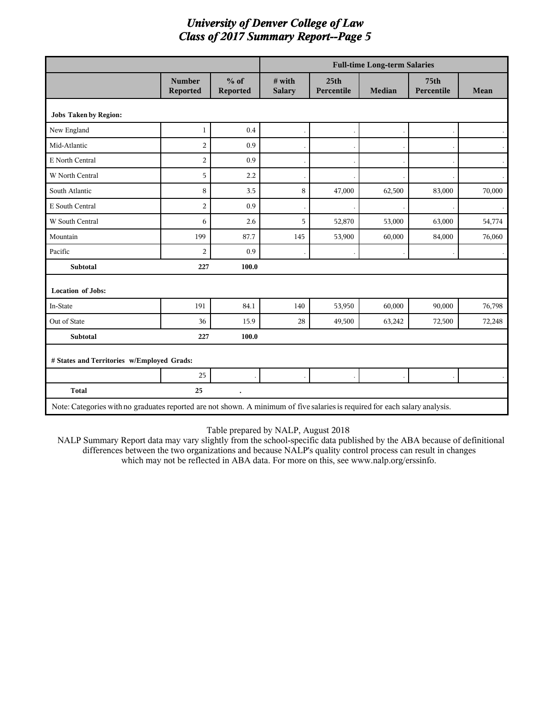|                                                                                                                             |                           |                      | <b>Full-time Long-term Salaries</b> |                                |        |                                |             |
|-----------------------------------------------------------------------------------------------------------------------------|---------------------------|----------------------|-------------------------------------|--------------------------------|--------|--------------------------------|-------------|
|                                                                                                                             | <b>Number</b><br>Reported | $%$ of<br>Reported   | # with<br><b>Salary</b>             | 25 <sub>th</sub><br>Percentile | Median | 75 <sub>th</sub><br>Percentile | <b>Mean</b> |
| <b>Jobs Taken by Region:</b>                                                                                                |                           |                      |                                     |                                |        |                                |             |
| New England                                                                                                                 | $\mathbf{1}$              | 0.4                  |                                     |                                |        |                                |             |
| Mid-Atlantic                                                                                                                | $\overline{2}$            | 0.9                  |                                     |                                |        |                                |             |
| E North Central                                                                                                             | $\overline{2}$            | 0.9                  |                                     |                                |        |                                |             |
| W North Central                                                                                                             | 5                         | 2.2                  |                                     |                                |        |                                |             |
| South Atlantic                                                                                                              | 8                         | 3.5                  | 8                                   | 47,000                         | 62,500 | 83,000                         | 70,000      |
| E South Central                                                                                                             | $\overline{2}$            | 0.9                  |                                     |                                |        |                                |             |
| W South Central                                                                                                             | 6                         | 2.6                  | 5                                   | 52,870                         | 53,000 | 63,000                         | 54,774      |
| Mountain                                                                                                                    | 199                       | 87.7                 | 145                                 | 53,900                         | 60,000 | 84,000                         | 76,060      |
| Pacific                                                                                                                     | $\overline{2}$            | 0.9                  |                                     |                                |        |                                |             |
| <b>Subtotal</b>                                                                                                             | 227                       | 100.0                |                                     |                                |        |                                |             |
| <b>Location of Jobs:</b>                                                                                                    |                           |                      |                                     |                                |        |                                |             |
| In-State                                                                                                                    | 191                       | 84.1                 | 140                                 | 53,950                         | 60,000 | 90,000                         | 76,798      |
| Out of State                                                                                                                | 36                        | 15.9                 | 28                                  | 49,500                         | 63,242 | 72,500                         | 72,248      |
| <b>Subtotal</b>                                                                                                             | 227                       | 100.0                |                                     |                                |        |                                |             |
| # States and Territories w/Employed Grads:                                                                                  |                           |                      |                                     |                                |        |                                |             |
|                                                                                                                             | 25                        |                      |                                     |                                |        |                                |             |
| <b>Total</b>                                                                                                                | 25                        | $\ddot{\phantom{0}}$ |                                     |                                |        |                                |             |
| Note: Categories with no graduates reported are not shown. A minimum of five salaries is required for each salary analysis. |                           |                      |                                     |                                |        |                                |             |

#### Table prepared by NALP, August 2018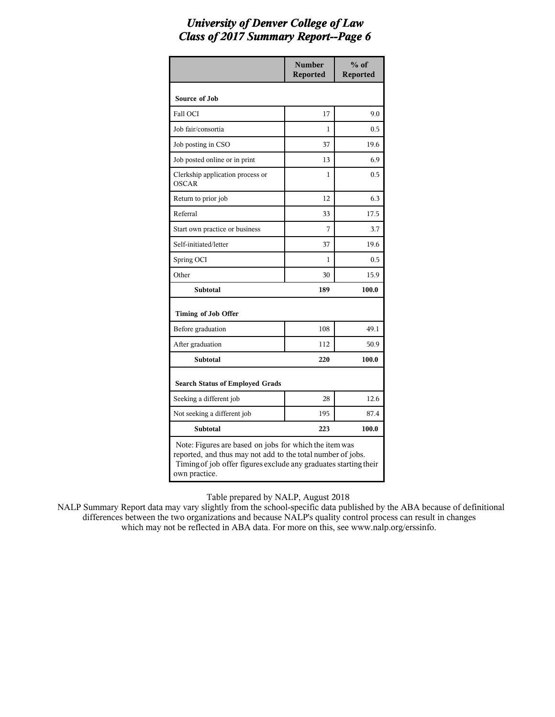|                                                                                                                                                                                                            | <b>Number</b><br><b>Reported</b> | $%$ of<br><b>Reported</b> |  |  |
|------------------------------------------------------------------------------------------------------------------------------------------------------------------------------------------------------------|----------------------------------|---------------------------|--|--|
| Source of Job                                                                                                                                                                                              |                                  |                           |  |  |
| Fall OCI                                                                                                                                                                                                   | 17                               | 9.0                       |  |  |
| Job fair/consortia                                                                                                                                                                                         | 1                                | 0.5                       |  |  |
| Job posting in CSO                                                                                                                                                                                         | 37                               | 19.6                      |  |  |
| Job posted online or in print                                                                                                                                                                              | 13                               | 6.9                       |  |  |
| Clerkship application process or<br><b>OSCAR</b>                                                                                                                                                           | 1                                | 0.5                       |  |  |
| Return to prior job                                                                                                                                                                                        | 12                               | 6.3                       |  |  |
| Referral                                                                                                                                                                                                   | 33                               | 17.5                      |  |  |
| Start own practice or business                                                                                                                                                                             | 7                                | 3.7                       |  |  |
| Self-initiated/letter                                                                                                                                                                                      | 37                               | 19.6                      |  |  |
| Spring OCI                                                                                                                                                                                                 | 1                                | 0.5                       |  |  |
| Other                                                                                                                                                                                                      | 30                               | 15.9                      |  |  |
| <b>Subtotal</b>                                                                                                                                                                                            | 189                              | 100.0                     |  |  |
| Timing of Job Offer                                                                                                                                                                                        |                                  |                           |  |  |
| Before graduation                                                                                                                                                                                          | 108                              | 49.1                      |  |  |
| After graduation                                                                                                                                                                                           | 112                              | 50.9                      |  |  |
| <b>Subtotal</b>                                                                                                                                                                                            | 220                              | 100.0                     |  |  |
| <b>Search Status of Employed Grads</b>                                                                                                                                                                     |                                  |                           |  |  |
| Seeking a different job                                                                                                                                                                                    | 28                               | 12.6                      |  |  |
| Not seeking a different job                                                                                                                                                                                | 195                              | 87.4                      |  |  |
| <b>Subtotal</b>                                                                                                                                                                                            | 223                              | 100.0                     |  |  |
| Note: Figures are based on jobs for which the item was<br>reported, and thus may not add to the total number of jobs.<br>Timing of job offer figures exclude any graduates starting their<br>own practice. |                                  |                           |  |  |

Table prepared by NALP, August 2018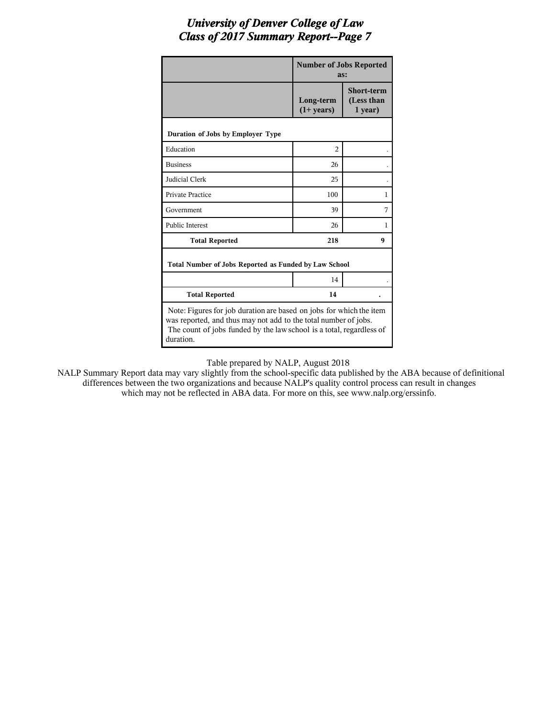|                                                                                                                                                                                                                             | <b>Number of Jobs Reported</b><br>as: |                                            |  |  |  |
|-----------------------------------------------------------------------------------------------------------------------------------------------------------------------------------------------------------------------------|---------------------------------------|--------------------------------------------|--|--|--|
|                                                                                                                                                                                                                             | Long-term<br>$(1+ \text{years})$      | <b>Short-term</b><br>(Less than<br>1 year) |  |  |  |
| Duration of Jobs by Employer Type                                                                                                                                                                                           |                                       |                                            |  |  |  |
| Education                                                                                                                                                                                                                   | $\overline{c}$                        |                                            |  |  |  |
| <b>Business</b>                                                                                                                                                                                                             | 26                                    |                                            |  |  |  |
| Judicial Clerk                                                                                                                                                                                                              | 25                                    |                                            |  |  |  |
| <b>Private Practice</b>                                                                                                                                                                                                     | 100                                   | $\mathbf{1}$                               |  |  |  |
| Government                                                                                                                                                                                                                  | 39                                    | 7                                          |  |  |  |
| <b>Public Interest</b>                                                                                                                                                                                                      | 26                                    | $\mathbf{1}$                               |  |  |  |
| <b>Total Reported</b>                                                                                                                                                                                                       | 218                                   | 9                                          |  |  |  |
| Total Number of Jobs Reported as Funded by Law School                                                                                                                                                                       |                                       |                                            |  |  |  |
|                                                                                                                                                                                                                             | 14                                    |                                            |  |  |  |
| <b>Total Reported</b>                                                                                                                                                                                                       | 14                                    |                                            |  |  |  |
| Note: Figures for job duration are based on jobs for which the item<br>was reported, and thus may not add to the total number of jobs.<br>The count of jobs funded by the law school is a total, regardless of<br>duration. |                                       |                                            |  |  |  |

Table prepared by NALP, August 2018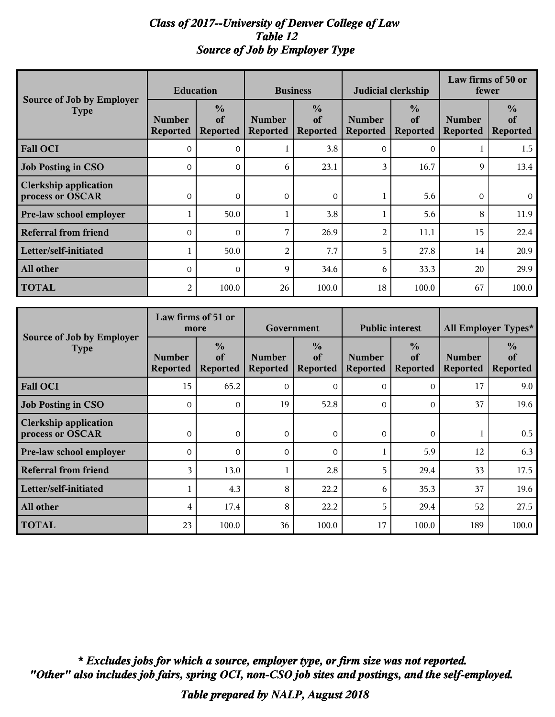### *Class of 2017--University of Denver College of Law Table 12 Source of Job by Employer Type*

| Source of Job by Employer                        | <b>Education</b>                 |                                        | <b>Business</b>                  |                                        |                                  | Judicial clerkship                     | Law firms of 50 or<br>fewer      |                                        |
|--------------------------------------------------|----------------------------------|----------------------------------------|----------------------------------|----------------------------------------|----------------------------------|----------------------------------------|----------------------------------|----------------------------------------|
| <b>Type</b>                                      | <b>Number</b><br><b>Reported</b> | $\frac{0}{0}$<br>of<br><b>Reported</b> | <b>Number</b><br><b>Reported</b> | $\frac{0}{0}$<br>of<br><b>Reported</b> | <b>Number</b><br><b>Reported</b> | $\frac{0}{0}$<br>of<br><b>Reported</b> | <b>Number</b><br><b>Reported</b> | $\frac{0}{0}$<br>of<br><b>Reported</b> |
| <b>Fall OCI</b>                                  | $\Omega$                         | $\Omega$                               |                                  | 3.8                                    | $\Omega$                         | $\Omega$                               |                                  | 1.5                                    |
| <b>Job Posting in CSO</b>                        | $\Omega$                         | $\Omega$                               | 6                                | 23.1                                   | 3                                | 16.7                                   | 9                                | 13.4                                   |
| <b>Clerkship application</b><br>process or OSCAR | $\overline{0}$                   | $\mathbf 0$                            | $\overline{0}$                   | $\mathbf{0}$                           |                                  | 5.6                                    | $\mathbf 0$                      | $\overline{O}$                         |
| Pre-law school employer                          |                                  | 50.0                                   |                                  | 3.8                                    |                                  | 5.6                                    | 8                                | 11.9                                   |
| <b>Referral from friend</b>                      | $\Omega$                         | $\Omega$                               | 7                                | 26.9                                   | $\overline{2}$                   | 11.1                                   | 15                               | 22.4                                   |
| Letter/self-initiated                            |                                  | 50.0                                   | 2                                | 7.7                                    | 5                                | 27.8                                   | 14                               | 20.9                                   |
| All other                                        | $\Omega$                         | $\Omega$                               | 9                                | 34.6                                   | 6                                | 33.3                                   | 20                               | 29.9                                   |
| <b>TOTAL</b>                                     | 2                                | 100.0                                  | 26                               | 100.0                                  | 18                               | 100.0                                  | 67                               | 100.0                                  |

| Source of Job by Employer                        | Law firms of 51 or<br>more       |                                        | Government                       |                                        | <b>Public interest</b>           |                                        | All Employer Types*              |                                        |
|--------------------------------------------------|----------------------------------|----------------------------------------|----------------------------------|----------------------------------------|----------------------------------|----------------------------------------|----------------------------------|----------------------------------------|
| <b>Type</b>                                      | <b>Number</b><br><b>Reported</b> | $\frac{0}{0}$<br>of<br><b>Reported</b> | <b>Number</b><br><b>Reported</b> | $\frac{0}{0}$<br>of<br><b>Reported</b> | <b>Number</b><br><b>Reported</b> | $\frac{0}{0}$<br>of<br><b>Reported</b> | <b>Number</b><br><b>Reported</b> | $\frac{0}{0}$<br>of<br><b>Reported</b> |
| <b>Fall OCI</b>                                  | 15                               | 65.2                                   | $\Omega$                         | $\Omega$                               | $\Omega$                         | $\Omega$                               | 17                               | 9.0                                    |
| <b>Job Posting in CSO</b>                        | $\Omega$                         | $\Omega$                               | 19                               | 52.8                                   | $\Omega$                         | $\Omega$                               | 37                               | 19.6                                   |
| <b>Clerkship application</b><br>process or OSCAR | $\overline{0}$                   | $\overline{0}$                         | $\overline{0}$                   | $\overline{0}$                         | $\overline{0}$                   | $\overline{0}$                         |                                  | 0.5                                    |
| Pre-law school employer                          | $\Omega$                         | $\Omega$                               | $\Omega$                         | $\Omega$                               |                                  | 5.9                                    | 12                               | 6.3                                    |
| <b>Referral from friend</b>                      | 3                                | 13.0                                   |                                  | 2.8                                    | 5                                | 29.4                                   | 33                               | 17.5                                   |
| Letter/self-initiated                            |                                  | 4.3                                    | 8                                | 22.2                                   | 6                                | 35.3                                   | 37                               | 19.6                                   |
| All other                                        | 4                                | 17.4                                   | 8                                | 22.2                                   | 5                                | 29.4                                   | 52                               | 27.5                                   |
| <b>TOTAL</b>                                     | 23                               | 100.0                                  | 36                               | 100.0                                  | 17                               | 100.0                                  | 189                              | 100.0                                  |

*"Other" also includes job fairs, spring OCI, non-CSO job sites and postings, and the self-employed. \* Excludes jobs for which a source, employer type, or firm size was not reported.*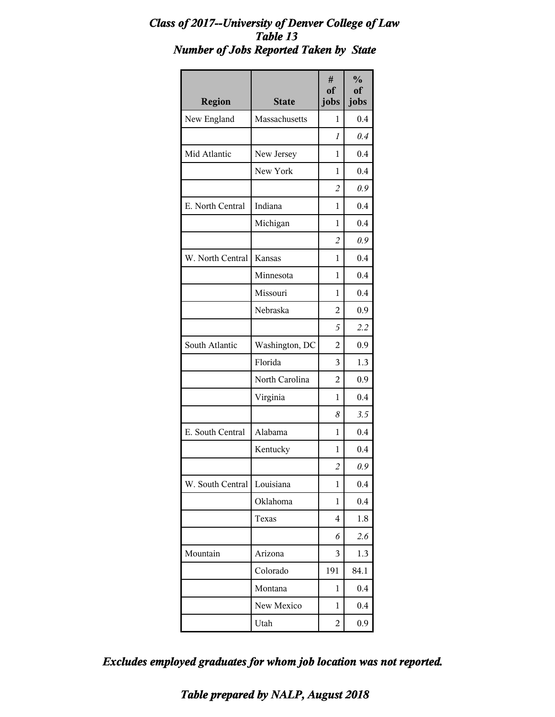#### *Class of 2017--University of Denver College of Law Table 13 Number of Jobs Reported Taken by State*

| <b>Region</b>    | <b>State</b>   | #<br>of<br>jobs | $\frac{0}{0}$<br>of<br>jobs |
|------------------|----------------|-----------------|-----------------------------|
| New England      | Massachusetts  | 1               | 0.4                         |
|                  |                | 1               | 0.4                         |
| Mid Atlantic     | New Jersey     | 1               | 0.4                         |
|                  | New York       | 1               | 0.4                         |
|                  |                | $\overline{c}$  | 0.9                         |
| E. North Central | Indiana        | 1               | 0.4                         |
|                  | Michigan       | 1               | 0.4                         |
|                  |                | $\overline{c}$  | 0.9                         |
| W. North Central | <b>Kansas</b>  | 1               | 0.4                         |
|                  | Minnesota      | 1               | 0.4                         |
|                  | Missouri       | 1               | 0.4                         |
|                  | Nebraska       | $\overline{c}$  | 0.9                         |
|                  |                | 5               | 2.2                         |
| South Atlantic   | Washington, DC | 2               | 0.9                         |
|                  | Florida        | 3               | 1.3                         |
|                  | North Carolina | $\overline{2}$  | 0.9                         |
|                  | Virginia       | 1               | 0.4                         |
|                  |                | 8               | 3.5                         |
| E. South Central | Alabama        | 1               | 0.4                         |
|                  | Kentucky       | 1               | 0.4                         |
|                  |                | $\overline{2}$  | 0.9                         |
| W. South Central | Louisiana      | 1               | 0.4                         |
|                  | Oklahoma       | 1               | 0.4                         |
|                  | Texas          | 4               | 1.8                         |
|                  |                | 6               | 2.6                         |
| Mountain         | Arizona        | 3               | 1.3                         |
|                  | Colorado       | 191             | 84.1                        |
|                  | Montana        | 1               | 0.4                         |
|                  | New Mexico     | 1               | 0.4                         |
|                  | Utah           | 2               | 0.9                         |

*Excludes employed graduates for whom job location was not reported.*

*Table prepared by NALP, August 2018*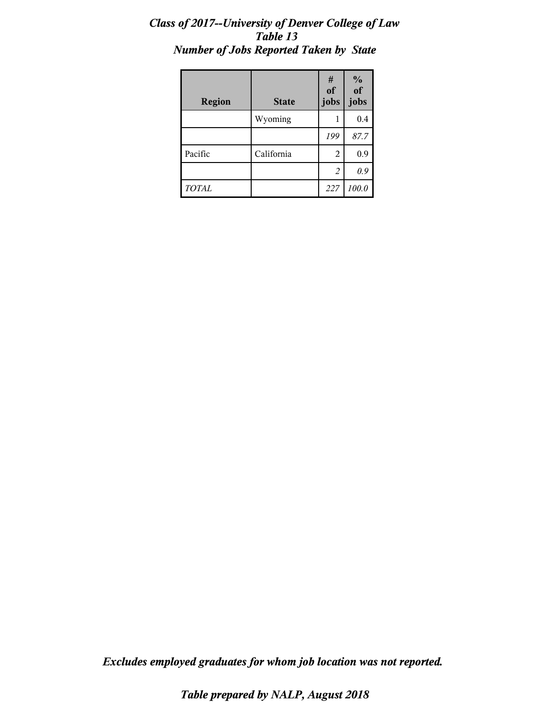#### *Class of 2017--University of Denver College of Law Table 13 Number of Jobs Reported Taken by State*

| <b>Region</b> | <b>State</b> | #<br>of<br>jobs | $\frac{0}{0}$<br>of<br>jobs |
|---------------|--------------|-----------------|-----------------------------|
|               | Wyoming      |                 | 0.4                         |
|               |              | 199             | 87.7                        |
| Pacific       | California   | 2               | 0.9                         |
|               |              | 2               | 0.9                         |
| TOTAL         |              | 227             | 100.0                       |

*Excludes employed graduates for whom job location was not reported.*

*Table prepared by NALP, August 2018*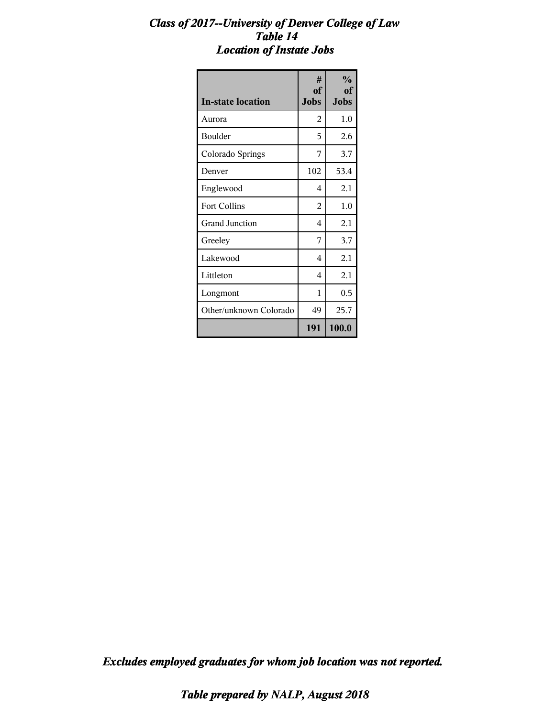#### *Class of 2017--University of Denver College of Law Table 14 Location of Instate Jobs*

| <b>In-state location</b> | #<br><sub>of</sub><br><b>Jobs</b> | $\frac{0}{0}$<br>of<br><b>Jobs</b> |
|--------------------------|-----------------------------------|------------------------------------|
| Aurora                   | 2                                 | $1.0\,$                            |
| Boulder                  | 5                                 | 2.6                                |
| Colorado Springs         | 7                                 | 3.7                                |
| Denver                   | 102                               | 53.4                               |
| Englewood                | 4                                 | 2.1                                |
| <b>Fort Collins</b>      | 2                                 | 1.0                                |
| Grand Junction           | 4                                 | 2.1                                |
| Greeley                  | 7                                 | 3.7                                |
| Lakewood                 | 4                                 | 2.1                                |
| Littleton                | 4                                 | 2.1                                |
| Longmont                 | 1                                 | 0.5                                |
| Other/unknown Colorado   | 49                                | 25.7                               |
|                          | 191                               | 100.0                              |

*Excludes employed graduates for whom job location was not reported.*